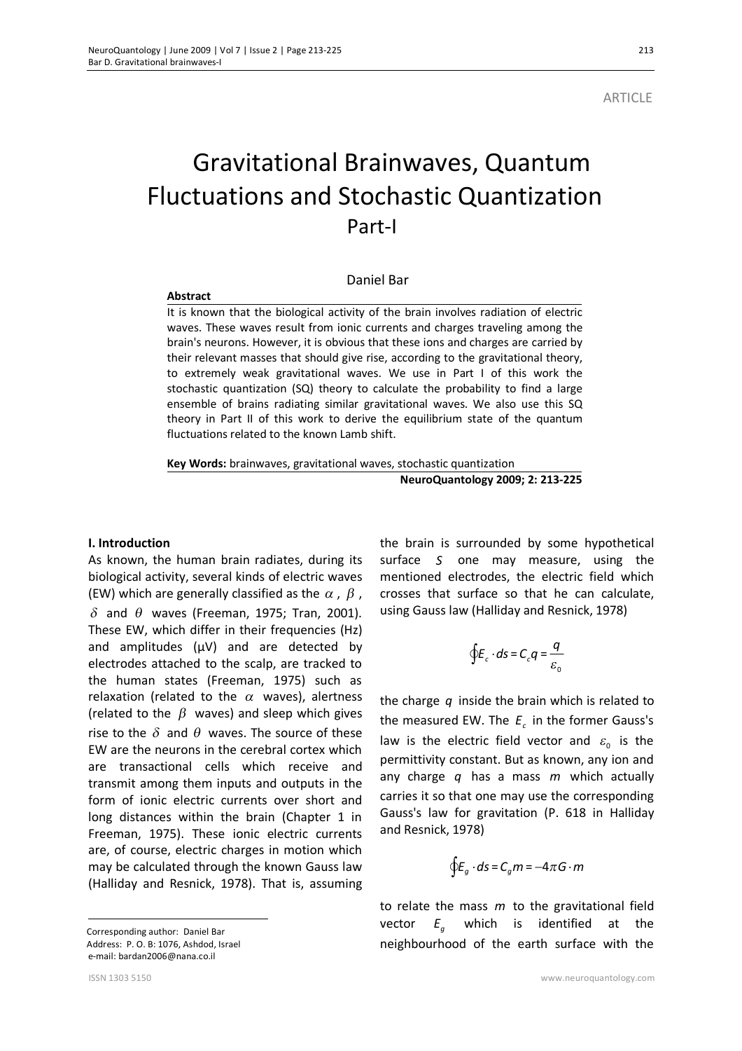**Abstract** 

# Gravitational Brainwaves, Quantum Fluctuations and Stochastic Quantization **Part-I**

## Daniel Bar

It is known that the biological activity of the brain involves radiation of electric waves. These waves result from ionic currents and charges traveling among the brain's neurons. However, it is obvious that these ions and charges are carried by their relevant masses that should give rise, according to the gravitational theory, to extremely weak gravitational waves. We use in Part I of this work the stochastic quantization (SQ) theory to calculate the probability to find a large ensemble of brains radiating similar gravitational waves. We also use this SQ theory in Part II of this work to derive the equilibrium state of the quantum fluctuations related to the known Lamb shift.

**Key Words:** brainwaves, gravitational waves, stochastic quantization **NeuroQuantology 2009; 2: 213-225**

#### **I.** Introduction

As known, the human brain radiates, during its biological activity, several kinds of electric waves (EW) which are generally classified as the  $\alpha$ ,  $\beta$ ,  $\delta$  and  $\theta$  waves (Freeman, 1975; Tran, 2001). These EW, which differ in their frequencies (Hz) and amplitudes  $(\mu V)$  and are detected by electrodes attached to the scalp, are tracked to the human states (Freeman, 1975) such as relaxation (related to the  $\alpha$  waves), alertness (related to the  $\beta$  waves) and sleep which gives rise to the  $\delta$  and  $\theta$  waves. The source of these EW are the neurons in the cerebral cortex which are transactional cells which receive and transmit among them inputs and outputs in the form of ionic electric currents over short and long distances within the brain (Chapter 1 in Freeman, 1975). These ionic electric currents are, of course, electric charges in motion which may be calculated through the known Gauss law (Halliday and Resnick, 1978). That is, assuming

 Corresponding author: Daniel Bar Address: P. O. B: 1076, Ashdod, Israel e-mail: bardan2006@nana.co.il

the brain is surrounded by some hypothetical surface *S* one may measure, using the mentioned electrodes, the electric field which crosses that surface so that he can calculate, using Gauss law (Halliday and Resnick, 1978)

$$
\oint \! E_c \cdot d\mathfrak{s} = C_c q = \frac{q}{\varepsilon_0}
$$

the charge *q* inside the brain which is related to the measured EW. The *<sup>c</sup> E* in the former Gauss's law is the electric field vector and  $\varepsilon_{0}$  is the permittivity constant. But as known, any ion and any charge *q* has a mass *m* which actually carries it so that one may use the corresponding Gauss's law for gravitation (P. 618 in Halliday and Resnick, 1978)

$$
\oint E_g \cdot ds = C_g m = -4\pi G \cdot m
$$

to relate the mass *m* to the gravitational field vector  $E_a$ which is identified at the neighbourhood of the earth surface with the

 $\overline{a}$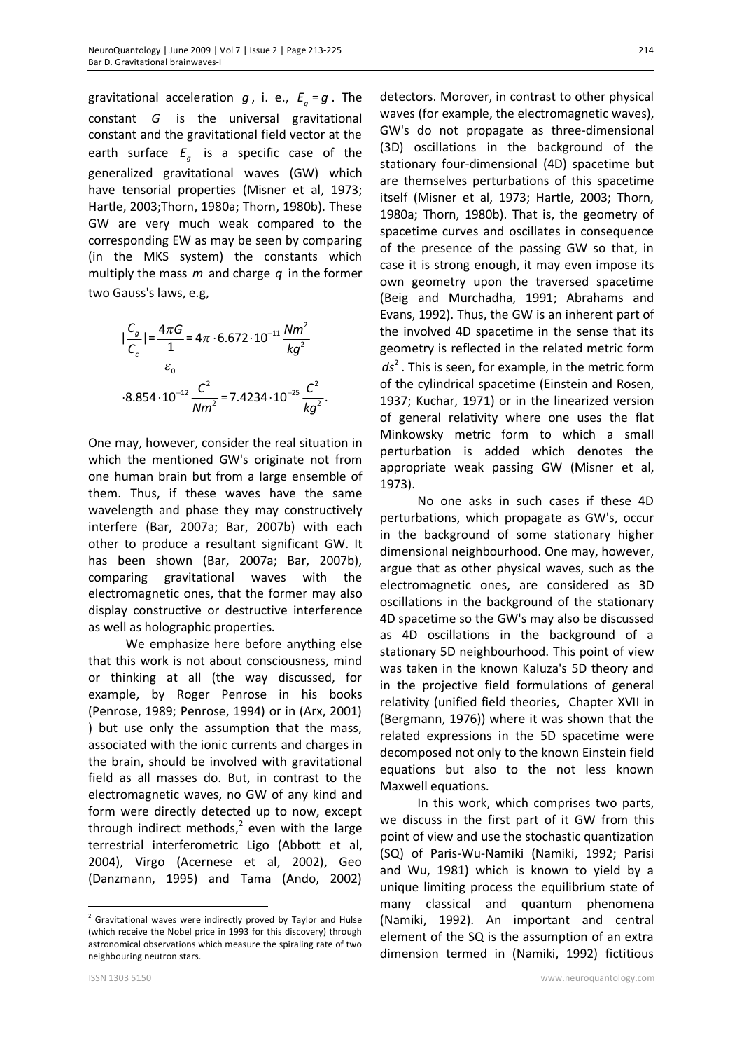gravitational acceleration  $g$ , i. e.,  $E_g = g$ . The constant *G* is the universal gravitational constant and the gravitational field vector at the earth surface  $E_g$  is a specific case of the generalized gravitational waves (GW) which have tensorial properties (Misner et al, 1973; Hartle, 2003;Thorn, 1980a; Thorn, 1980b). These GW are very much weak compared to the corresponding EW as may be seen by comparing (in the MKS system) the constants which multiply the mass *m* and charge *q* in the former two Gauss's laws, e.g,

$$
|\frac{C_g}{C_c}| = \frac{4\pi G}{\frac{1}{\epsilon_0}} = 4\pi \cdot 6.672 \cdot 10^{-11} \frac{N m^2}{kg^2}
$$
  
.8.854 \cdot 10^{-12}  $\frac{C^2}{N m^2} = 7.4234 \cdot 10^{-25} \frac{C^2}{kg^2}$ .

One may, however, consider the real situation in which the mentioned GW's originate not from one human brain but from a large ensemble of them. Thus, if these waves have the same wavelength and phase they may constructively interfere (Bar, 2007a; Bar, 2007b) with each other to produce a resultant significant GW. It has been shown (Bar, 2007a; Bar, 2007b), comparing gravitational waves with the electromagnetic ones, that the former may also display constructive or destructive interference as well as holographic properties.

We emphasize here before anything else that this work is not about consciousness, mind or thinking at all (the way discussed, for example, by Roger Penrose in his books (Penrose, 1989; Penrose, 1994) or in (Arx, 2001) ) but use only the assumption that the mass, associated with the ionic currents and charges in the brain, should be involved with gravitational field as all masses do. But, in contrast to the electromagnetic waves, no GW of any kind and form were directly detected up to now, except through indirect methods, $2$  even with the large terrestrial interferometric Ligo (Abbott et al, 2004), Virgo (Acernese et al, 2002), Geo (Danzmann, 1995) and Tama (Ando, 2002)

detectors. Morover, in contrast to other physical waves (for example, the electromagnetic waves), GW's do not propagate as three-dimensional (3D) oscillations in the background of the stationary four-dimensional (4D) spacetime but are themselves perturbations of this spacetime itself (Misner et al, 1973; Hartle, 2003; Thorn, 1980a; Thorn, 1980b). That is, the geometry of spacetime curves and oscillates in consequence of the presence of the passing GW so that, in case it is strong enough, it may even impose its own geometry upon the traversed spacetime (Beig and Murchadha, 1991; Abrahams and Evans, 1992). Thus, the GW is an inherent part of the involved 4D spacetime in the sense that its geometry is reflected in the related metric form ds<sup>2</sup>. This is seen, for example, in the metric form of the cylindrical spacetime (Einstein and Rosen, 1937; Kuchar, 1971) or in the linearized version of general relativity where one uses the flat Minkowsky metric form to which a small perturbation is added which denotes the appropriate weak passing GW (Misner et al, 1973).

No one asks in such cases if these 4D perturbations, which propagate as GW's, occur in the background of some stationary higher dimensional neighbourhood. One may, however, argue that as other physical waves, such as the electromagnetic ones, are considered as 3D oscillations in the background of the stationary 4D spacetime so the GW's may also be discussed as 4D oscillations in the background of a stationary 5D neighbourhood. This point of view was taken in the known Kaluza's 5D theory and in the projective field formulations of general relativity (unified field theories, Chapter XVII in (Bergmann, 1976)) where it was shown that the related expressions in the 5D spacetime were decomposed not only to the known Einstein field equations but also to the not less known Maxwell equations.

In this work, which comprises two parts, we discuss in the first part of it GW from this point of view and use the stochastic quantization (SQ) of Paris-Wu-Namiki (Namiki, 1992; Parisi and Wu, 1981) which is known to yield by a unique limiting process the equilibrium state of many classical and quantum phenomena (Namiki, 1992). An important and central element of the SQ is the assumption of an extra dimension termed in (Namiki, 1992) fictitious

 $\overline{a}$ 

214

 $2$  Gravitational waves were indirectly proved by Taylor and Hulse (which receive the Nobel price in 1993 for this discovery) through astronomical observations which measure the spiraling rate of two neighbouring neutron stars.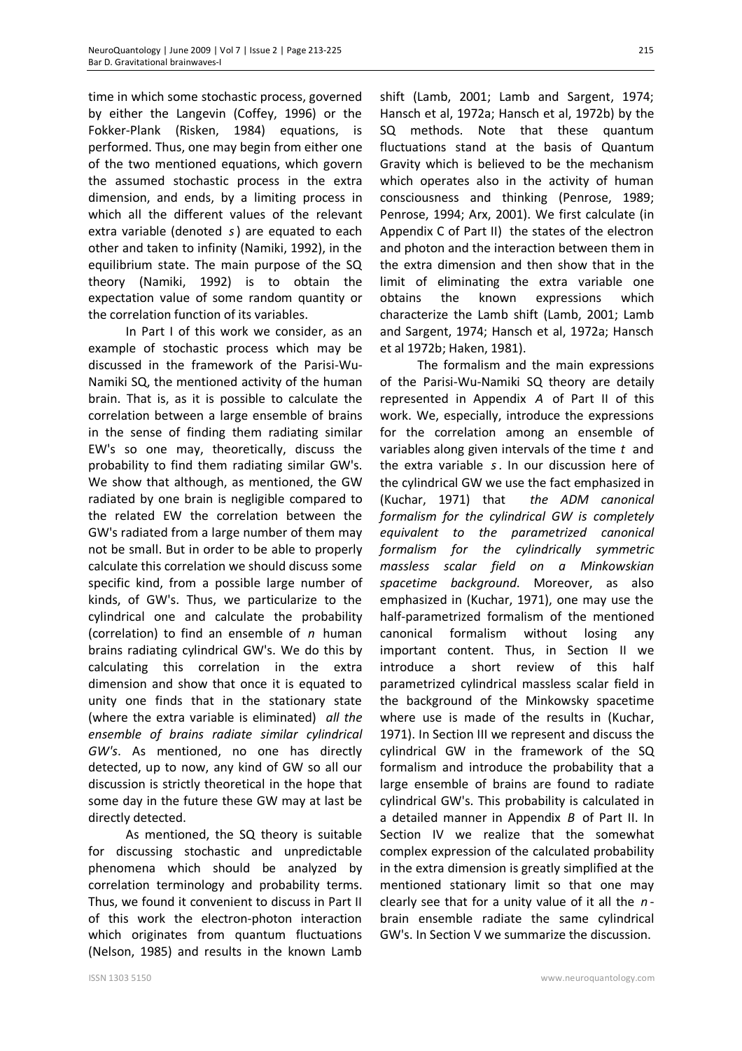time in which some stochastic process, governed by either the Langevin (Coffey, 1996) or the Fokker-Plank (Risken, 1984) equations, is performed. Thus, one may begin from either one of the two mentioned equations, which govern the assumed stochastic process in the extra dimension, and ends, by a limiting process in which all the different values of the relevant extra variable (denoted *s*) are equated to each other and taken to infinity (Namiki, 1992), in the equilibrium state. The main purpose of the SQ theory (Namiki, 1992) is to obtain the expectation value of some random quantity or the correlation function of its variables.

In Part I of this work we consider, as an example of stochastic process which may be discussed in the framework of the Parisi-Wu-Namiki SQ, the mentioned activity of the human brain. That is, as it is possible to calculate the correlation between a large ensemble of brains in the sense of finding them radiating similar EW's so one may, theoretically, discuss the probability to find them radiating similar GW's. We show that although, as mentioned, the GW radiated by one brain is negligible compared to the related EW the correlation between the GW's radiated from a large number of them may not be small. But in order to be able to properly calculate this correlation we should discuss some specific kind, from a possible large number of kinds, of GW's. Thus, we particularize to the cylindrical one and calculate the probability (correlation) to find an ensemble of *n* human brains radiating cylindrical GW's. We do this by calculating this correlation in the extra dimension and show that once it is equated to unity one finds that in the stationary state (where the extra variable is eliminated) *all the ensemble of brains radiate similar cylindrical GW's*. As mentioned, no one has directly detected, up to now, any kind of GW so all our discussion is strictly theoretical in the hope that some day in the future these GW may at last be directly detected.

As mentioned, the SQ theory is suitable for discussing stochastic and unpredictable phenomena which should be analyzed by correlation terminology and probability terms. Thus, we found it convenient to discuss in Part II of this work the electron-photon interaction which originates from quantum fluctuations (Nelson, 1985) and results in the known Lamb

shift (Lamb, 2001; Lamb and Sargent, 1974; Hansch et al, 1972a; Hansch et al, 1972b) by the SQ methods. Note that these quantum fluctuations stand at the basis of Quantum Gravity which is believed to be the mechanism which operates also in the activity of human consciousness and thinking (Penrose, 1989; Penrose, 1994; Arx, 2001). We first calculate (in Appendix C of Part II) the states of the electron and photon and the interaction between them in the extra dimension and then show that in the limit of eliminating the extra variable one obtains the known expressions which characterize the Lamb shift (Lamb, 2001; Lamb and Sargent, 1974; Hansch et al, 1972a; Hansch et al 1972b; Haken, 1981).

 The formalism and the main expressions of the Parisi-Wu-Namiki SQ theory are detaily represented in Appendix *A* of Part II of this work. We, especially, introduce the expressions for the correlation among an ensemble of variables along given intervals of the time *t* and the extra variable *s*. In our discussion here of the cylindrical GW we use the fact emphasized in (Kuchar, 1971) that *the ADM canonical formalism for the cylindrical GW is completely equivalent to the parametrized canonical formalism for the cylindrically symmetric massless scalar field on a Minkowskian spacetime background*. Moreover, as also emphasized in (Kuchar, 1971), one may use the half-parametrized formalism of the mentioned canonical formalism without losing any important content. Thus, in Section II we introduce a short review of this half parametrized cylindrical massless scalar field in the background of the Minkowsky spacetime where use is made of the results in (Kuchar, 1971). In Section III we represent and discuss the cylindrical GW in the framework of the SQ formalism and introduce the probability that a large ensemble of brains are found to radiate cylindrical GW's. This probability is calculated in a detailed manner in Appendix *B* of Part II. In Section IV we realize that the somewhat complex expression of the calculated probability in the extra dimension is greatly simplified at the mentioned stationary limit so that one may clearly see that for a unity value of it all the *n* brain ensemble radiate the same cylindrical GW's. In Section V we summarize the discussion.

215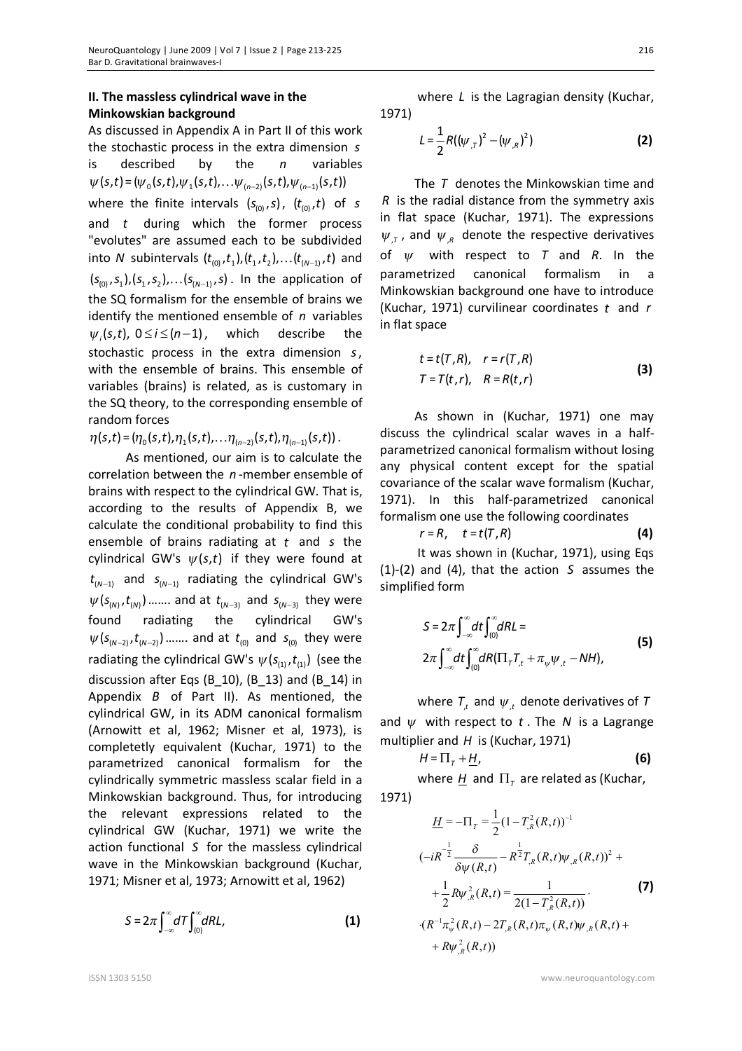### **II. The massless cylindrical wave in the Minkowskian background**

As discussed in Appendix A in Part II of this work the stochastic process in the extra dimension *s* is described by the *n* variables  $\psi(s,t) = (\psi_0(s,t), \psi_1(s,t), \dots \psi_{(n-2)}(s,t), \psi_{(n-1)}(s,t))$ where the finite intervals  $(s_{(0)}, s)$ ,  $(t_{(0)}, t)$  of *s* and *t* during which the former process "evolutes" are assumed each to be subdivided into *N* subintervals  $(t_{(0)}, t_1), (t_1, t_2), \ldots (t_{(N-1)}, t)$  and  $(s_{(0)}, s_1), (s_1, s_2), \ldots, (s_{(N-1)}, s)$ . In the application of the SQ formalism for the ensemble of brains we identify the mentioned ensemble of *n* variables  $\psi_i(s,t)$ ,  $0 \le i \le (n-1)$ , which describe the stochastic process in the extra dimension *s*, with the ensemble of brains. This ensemble of variables (brains) is related, as is customary in the SQ theory, to the corresponding ensemble of random forces

 $\eta(s,t) = (\eta_0(s,t), \eta_1(s,t), \ldots, \eta_{(n-2)}(s,t), \eta_{(n-1)}(s,t))$ .

As mentioned, our aim is to calculate the correlation between the *n* -member ensemble of brains with respect to the cylindrical GW. That is, according to the results of Appendix B, we calculate the conditional probability to find this ensemble of brains radiating at *t* and *s* the cylindrical GW's  $\psi(s,t)$  if they were found at  $t_{(N-1)}$  and  $s_{(N-1)}$  radiating the cylindrical GW's  $\psi(s_{(N)}, t_{(N)})$  ....... and at  $t_{(N-3)}$  and  $s_{(N-3)}$  they were found radiating the cylindrical GW's  $\psi(s_{(N-2)}, t_{(N-2)})$  ....... and at  $t_{(0)}$  and  $s_{(0)}$  they were radiating the cylindrical GW's  $\psi(s_{r}^{(1)}, t_{r}^{(1)})$  (see the discussion after Eqs (B\_10), (B\_13) and (B\_14) in Appendix *B* of Part II). As mentioned, the cylindrical GW, in its ADM canonical formalism (Arnowitt et al, 1962; Misner et al, 1973), is completetly equivalent (Kuchar, 1971) to the parametrized canonical formalism for the cylindrically symmetric massless scalar field in a Minkowskian background. Thus, for introducing the relevant expressions related to the cylindrical GW (Kuchar, 1971) we write the action functional *S* for the massless cylindrical wave in the Minkowskian background (Kuchar, 1971; Misner et al, 1973; Arnowitt et al, 1962)

$$
S = 2\pi \int_{-\infty}^{\infty} dT \int_{(0)}^{\infty} dR L, \qquad (1)
$$

where *L* is the Lagragian density (Kuchar, 1971)

$$
L = \frac{1}{2} R((\psi_{,T})^2 - (\psi_{,R})^2)
$$
 (2)

The *T* denotes the Minkowskian time and *R* is the radial distance from the symmetry axis in flat space (Kuchar, 1971). The expressions  $\psi_{,T}$ , and  $\psi_{,R}$  denote the respective derivatives of *<sup>y</sup>* with respect to *T* and *R*. In the parametrized canonical formalism in a Minkowskian background one have to introduce (Kuchar, 1971) curvilinear coordinates *t* and *r* in flat space

$$
t = t(T, R), \quad r = r(T, R)
$$
  
\n
$$
T = T(t, r), \quad R = R(t, r)
$$
\n(3)

As shown in (Kuchar, 1971) one may discuss the cylindrical scalar waves in a halfparametrized canonical formalism without losing any physical content except for the spatial covariance of the scalar wave formalism (Kuchar, 1971). In this half-parametrized canonical formalism one use the following coordinates

$$
r = R, \quad t = t(T, R) \tag{4}
$$

It was shown in (Kuchar, 1971), using Eqs (1)-(2) and (4), that the action *S* assumes the simplified form

$$
S = 2\pi \int_{-\infty}^{\infty} dt \int_{(0)}^{\infty} dR L =
$$
\n
$$
2\pi \int_{-\infty}^{\infty} dt \int_{(0)}^{\infty} dR (\Pi_{\tau} T_{,t} + \pi_{\psi} \psi_{,t} - N H),
$$
\n(5)

where  $T_{\mu}$  and  $\psi_{\mu}$  denote derivatives of T and  $\psi$  with respect to  $t$ . The  $N$  is a Lagrange multiplier and *H* is (Kuchar, 1971)

$$
H = \Pi_{\tau} + \underline{H}, \tag{6}
$$

where  $\underline{H}$  and  $\Pi_{\tau}$  are related as (Kuchar, 1971)

$$
\underline{H} = -\Pi_{r} = \frac{1}{2} (1 - T_{,R}^{2}(R,t))^{-1}
$$
\n
$$
(-iR^{-\frac{1}{2}} \frac{\delta}{\delta \psi(R,t)} - R^{\frac{1}{2}} T_{,R}(R,t) \psi_{,R}(R,t))^{2} +
$$
\n
$$
+ \frac{1}{2} R \psi_{,R}^{2}(R,t) = \frac{1}{2(1 - T_{,R}^{2}(R,t))}.
$$
\n
$$
\cdot (R^{-1} \pi_{\psi}^{2}(R,t) - 2T_{,R}(R,t) \pi_{\psi}(R,t) \psi_{,R}(R,t) +
$$
\n
$$
+ R \psi_{,R}^{2}(R,t))
$$
\n(9)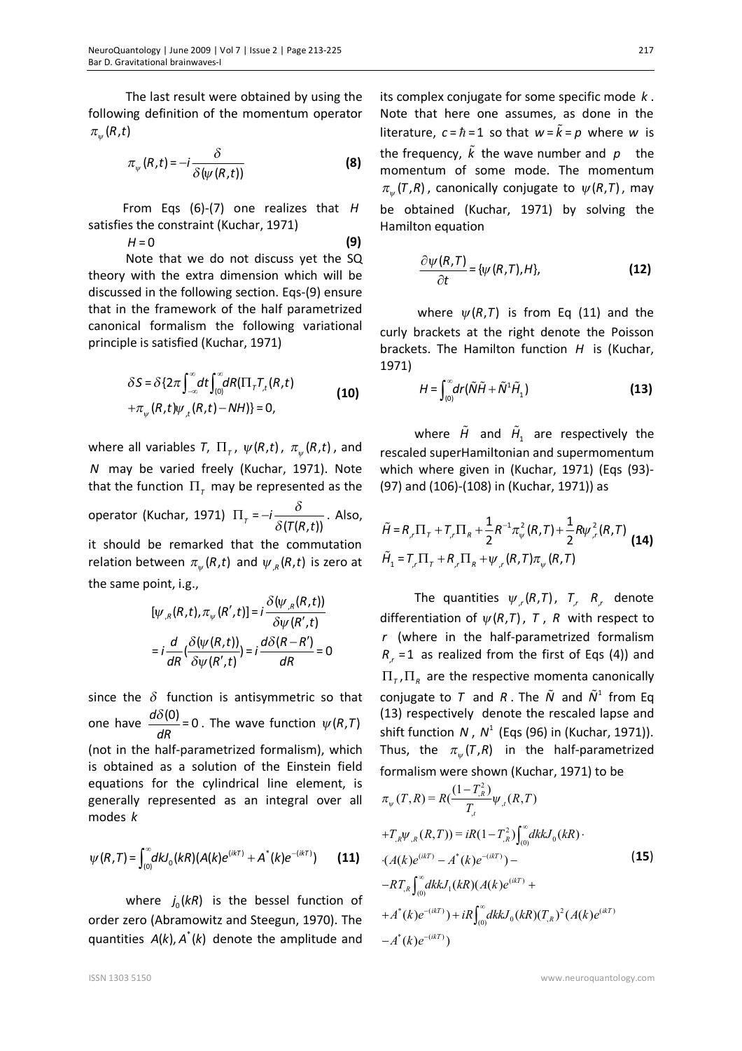The last result were obtained by using the following definition of the momentum operator  $\pi_{w}(R,t)$ 

$$
\pi_{\psi}(R,t) = -i \frac{\delta}{\delta(\psi(R,t))}
$$
 (8)

From Eqs (6)-(7) one realizes that *H* satisfies the constraint (Kuchar, 1971)

*H* = 0 **(9)**

Note that we do not discuss yet the SQ theory with the extra dimension which will be discussed in the following section. Eqs-(9) ensure that in the framework of the half parametrized canonical formalism the following variational principle is satisfied (Kuchar, 1971)

$$
\delta S = \delta \{2\pi \int_{-\infty}^{\infty} dt \int_{(0)}^{\infty} dR (\Pi_{\tau} T_{,t}(R, t)) + \pi_{\psi}(R, t) \psi_{,t}(R, t) - NH) \} = 0,
$$
\n(10)

where all variables *T*,  $\Pi_{\tau}$ ,  $\psi(R, t)$ ,  $\pi_{\psi}(R, t)$ , and *N* may be varied freely (Kuchar, 1971). Note that the function  $\Pi$ <sub>r</sub> may be represented as the operator (Kuchar, 1971)  $\Pi_{\tau} = -i \frac{\sigma}{\delta(T(R,t))}$ *T R t d*  $\Pi_{\tau} = -i \frac{\partial}{\partial (T(R,t))}$ . Also, it should be remarked that the commutation relation between  $\pi_{\psi}(R, t)$  and  $\psi_{\mu}(R, t)$  is zero at the same point, i.g.,

$$
[\psi_{,R}(R,t), \pi_{\psi}(R',t)] = i \frac{\delta(\psi_{,R}(R,t))}{\delta \psi(R',t)}
$$

$$
= i \frac{d}{dR} (\frac{\delta(\psi(R,t))}{\delta \psi(R',t)}) = i \frac{d\delta(R-R')}{dR} = 0
$$

since the  $\delta$  function is antisymmetric so that one have  $\frac{d\delta(0)}{dt} = 0$ *dR*  $\frac{\delta(0)}{\delta(0)}$  = 0. The wave function  $\psi(R,T)$ (not in the half-parametrized formalism), which is obtained as a solution of the Einstein field equations for the cylindrical line element, is generally represented as an integral over all modes *k*

$$
\psi(R,T) = \int_{(0)}^{\infty} dk J_0(kR) (A(k)e^{(ikT)} + A^{*}(k)e^{-(ikT)})
$$
 (11)

where  $j_0(kR)$  is the bessel function of order zero (Abramowitz and Steegun, 1970). The quantities  $A(k)$ ,  $A^*(k)$  denote the amplitude and

its complex conjugate for some specific mode *k* . Note that here one assumes, as done in the literature,  $c = \hbar = 1$  so that  $w = \tilde{k} = p$  where *w* is the frequency,  $\tilde{k}$  the wave number and  $p$  the momentum of some mode. The momentum  $\pi_{\psi}(\mathcal{T}, R)$ , canonically conjugate to  $\psi(R, \mathcal{T})$ , may be obtained (Kuchar, 1971) by solving the Hamilton equation

$$
\frac{\partial \psi(R,T)}{\partial t} = \{ \psi(R,T), H \},
$$
 (12)

where  $\psi(R, T)$  is from Eq (11) and the curly brackets at the right denote the Poisson brackets. The Hamilton function *H* is (Kuchar, 1971)

$$
H = \int_{(0)}^{\infty} dr \left( \tilde{N} \tilde{H} + \tilde{N}^{1} \tilde{H}_{1} \right)
$$
 (13)

where  $\tilde{H}$  and  $\tilde{H}$ <sub>1</sub> are respectively the rescaled superHamiltonian and supermomentum which where given in (Kuchar, 1971) (Eqs (93)- (97) and (106)-(108) in (Kuchar, 1971)) as

$$
\tilde{H} = R_{,r} \Pi_{\tau} + T_{,r} \Pi_{R} + \frac{1}{2} R^{-1} \pi_{\psi}^{2} (R, T) + \frac{1}{2} R \psi_{,r}^{2} (R, T)
$$
\n
$$
\tilde{H}_{1} = T_{,r} \Pi_{\tau} + R_{,r} \Pi_{R} + \psi_{,r} (R, T) \pi_{\psi} (R, T)
$$
\n(14)

The quantities  $\psi_{,r}(R,T)$ ,  $T_{,r}$   $R_{,r}$  denote differentiation of  $\psi(R,T)$ , T, R with respect to *r* (where in the half-parametrized formalism  $R_{r}$  = 1 as realized from the first of Eqs (4)) and  $\Pi_{\tau}$ ,  $\Pi_{\kappa}$  are the respective momenta canonically conjugate to  $T$  and  $R$ . The  $\tilde{N}$  and  $\tilde{N}^1$  from Eq (13) respectively denote the rescaled lapse and shift function N,  $N^1$  (Eqs (96) in (Kuchar, 1971)). Thus, the  $\pi_{\psi}(T,R)$  in the half-parametrized formalism were shown (Kuchar, 1971) to be

$$
\pi_{\psi}(T,R) = R\left(\frac{(1 - T_{,R}^{2})}{T_{,I}} \psi_{,I}(R,T)\right)
$$
  
+
$$
T_{,R} \psi_{,R}(R,T) = iR(1 - T_{,R}^{2}) \int_{(0)}^{\infty} dk k J_{0}(kR)
$$
  
•
$$
(A(k)e^{(ikT)} - A^{*}(k)e^{-(ikT)}) -
$$
  
-
$$
-RT_{,R} \int_{(0)}^{\infty} dk k J_{1}(kR)(A(k)e^{(ikT)} +
$$
  
+
$$
A^{*}(k)e^{-(ikT)}) + iR \int_{(0)}^{\infty} dk k J_{0}(kR)(T_{,R})^{2} (A(k)e^{(ikT)}
$$
  
-
$$
A^{*}(k)e^{-(ikT)})
$$
 (15)

ISSN 1303 5150 www.neuroquantology.com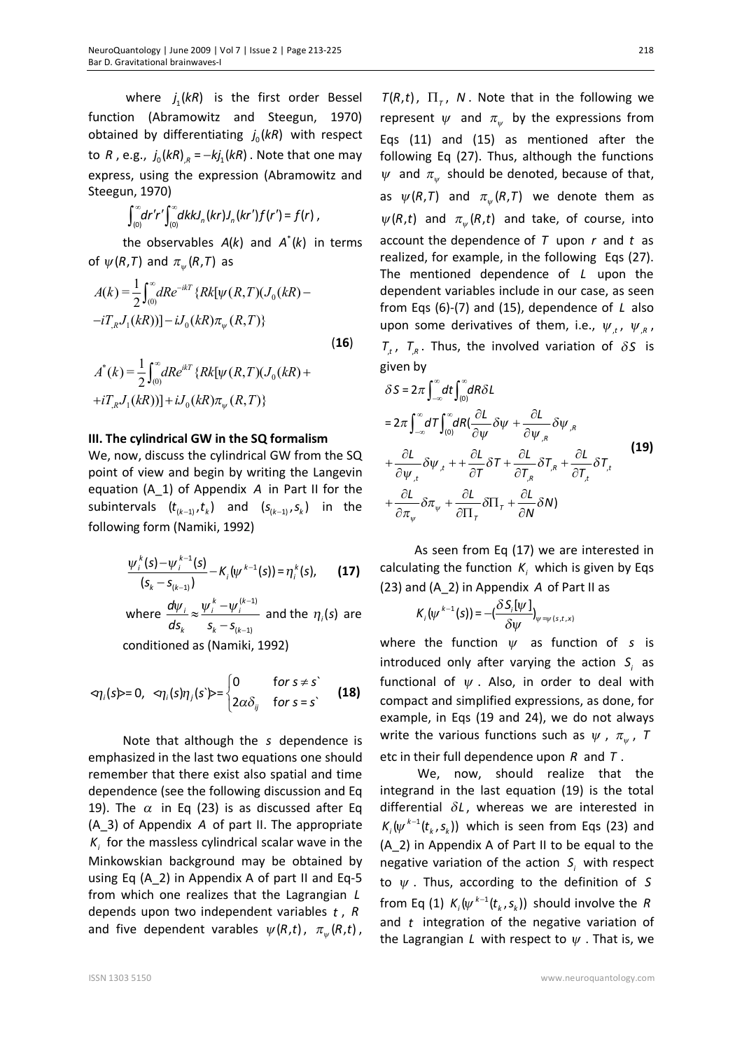where  $j_1(kR)$  is the first order Bessel function (Abramowitz and Steegun, 1970) obtained by differentiating  $j_0(kR)$  with respect to *R*, e.g.,  $j_0(kR)_{R} = -kj_1(kR)$ . Note that one may express, using the expression (Abramowitz and Steegun, 1970)

$$
\int_{(0)}^{\infty} dr' r' \int_{(0)}^{\infty} dk k J_n(kr) J_n(kr') f(r') = f(r) ,
$$

the observables  $A(k)$  and  $A^*(k)$  in terms of  $\psi(R,T)$  and  $\pi_{\psi}(R,T)$  as

$$
A(k) = \frac{1}{2} \int_{0}^{\infty} dRe^{-ikT} \{ Rk[\psi(R, T)(J_0(kR) - iT_{,R}J_1(kR))] - iJ_0(kR)\pi_{\psi}(R, T) \}
$$
\n(16)

$$
A^*(k) = \frac{1}{2} \int_{(0)}^{\infty} dRe^{ikT} \{ Rk[\psi(R, T)(J_0(kR) ++iT_{,R}J_1(kR))] + iJ_0(kR)\pi_{\psi}(R, T) \}
$$

#### **III. The cylindrical GW in the SQ formalism**

We, now, discuss the cylindrical GW from the SQ point of view and begin by writing the Langevin equation (A\_1) of Appendix *A* in Part II for the subintervals  $(t_{(k-1)}, t_{k})$  and  $(s_{(k-1)}, s_{k})$  in the following form (Namiki, 1992)

$$
\frac{\psi_i^k(s)-\psi_i^{k-1}(s)}{(s_k-s_{(k-1)})}-K_i(\psi^{k-1}(s))=\eta_i^k(s), \qquad (17)
$$

where 
$$
\frac{d\psi_i}{ds_k} \approx \frac{\psi_i^k - \psi_i^{(k-1)}}{s_k - s_{(k-1)}}
$$
 and the  $\eta_i(s)$  are  
conditioned as (Namiki 1992)

conditioned as (Namiki, 1992)

$$
\langle \eta_i(s) \rangle = 0, \ \ \langle \eta_i(s) \eta_j(s') \rangle = \begin{cases} 0 & \text{for } s \neq s \\ 2\alpha \delta_{ij} & \text{for } s = s' \end{cases}
$$
 (18)

Note that although the *s* dependence is emphasized in the last two equations one should remember that there exist also spatial and time dependence (see the following discussion and Eq 19). The  $\alpha$  in Eq (23) is as discussed after Eq (A\_3) of Appendix *A* of part II. The appropriate  $K<sub>i</sub>$  for the massless cylindrical scalar wave in the Minkowskian background may be obtained by using Eq (A\_2) in Appendix A of part II and Eq-5 from which one realizes that the Lagrangian *L* depends upon two independent variables *t* , *R* and five dependent varables  $\psi(R, t)$ ,  $\pi_{\psi}(R, t)$ ,

 $T(R,t)$ ,  $\Pi_{\tau}$ , N. Note that in the following we represent  $\psi$  and  $\pi_{\psi}$  by the expressions from Eqs (11) and (15) as mentioned after the following Eq (27). Thus, although the functions  $\psi$  and  $\pi_{\psi}$  should be denoted, because of that, as  $\psi(R,T)$  and  $\pi_{w}(R,T)$  we denote them as  $\psi(R, t)$  and  $\pi_{\psi}(R, t)$  and take, of course, into account the dependence of *T* upon *r* and *t* as realized, for example, in the following Eqs (27). The mentioned dependence of *L* upon the dependent variables include in our case, as seen from Eqs (6)-(7) and (15), dependence of *L* also upon some derivatives of them, i.e.,  $\psi_{,t}$ ,  $\psi_{,R}$ ,  $T_{\tau}$ ,  $T_{\tau}$ . Thus, the involved variation of  $\delta S$  is given by

$$
\delta S = 2\pi \int_{-\infty}^{\infty} dt \int_{(0)}^{\infty} dR \delta L
$$
  
\n
$$
= 2\pi \int_{-\infty}^{\infty} dT \int_{(0)}^{\infty} dR (\frac{\partial L}{\partial \psi} \delta \psi + \frac{\partial L}{\partial \psi_{,R}} \delta \psi_{,R})
$$
  
\n
$$
+ \frac{\partial L}{\partial \psi_{,t}} \delta \psi_{,t} + + \frac{\partial L}{\partial T} \delta T + \frac{\partial L}{\partial T_{,R}} \delta T_{,R} + \frac{\partial L}{\partial T_{,t}} \delta T_{,t}
$$
  
\n
$$
+ \frac{\partial L}{\partial \pi_{\psi}} \delta \pi_{\psi} + \frac{\partial L}{\partial \Pi_{T}} \delta \Pi_{T} + \frac{\partial L}{\partial N} \delta N)
$$
  
\n(19)

As seen from Eq (17) we are interested in calculating the function  $K_i$  which is given by Eqs (23) and (A\_2) in Appendix *A* of Part II as

$$
K_{i}(\psi^{k-1}(s)) = -\left(\frac{\delta S_{i}[\psi]}{\delta \psi}\right)_{\psi = \psi(s,t,x)}
$$

where the function  $\psi$  as function of *s* is introduced only after varying the action  $S_i$  as functional of  $\psi$ . Also, in order to deal with compact and simplified expressions, as done, for example, in Eqs (19 and 24), we do not always write the various functions such as  $\psi$  ,  $\pi_{\psi}$  ,  $T$ etc in their full dependence upon *R* and *T* .

We, now, should realize that the integrand in the last equation (19) is the total differential  $\delta L$ , whereas we are interested in  $K_{i}(\psi^{k-1}(t_{k}, s_{k}))$  which is seen from Eqs (23) and (A\_2) in Appendix A of Part II to be equal to the negative variation of the action  $S_i$  with respect to *<sup>y</sup>* . Thus, according to the definition of *S* from Eq (1)  $K_{_{i}}(\psi^{k-1}(t_{_{k}}, s_{_{k}}))$  should involve the  $R$ and *t* integration of the negative variation of the Lagrangian *L* with respect to  $\psi$ . That is, we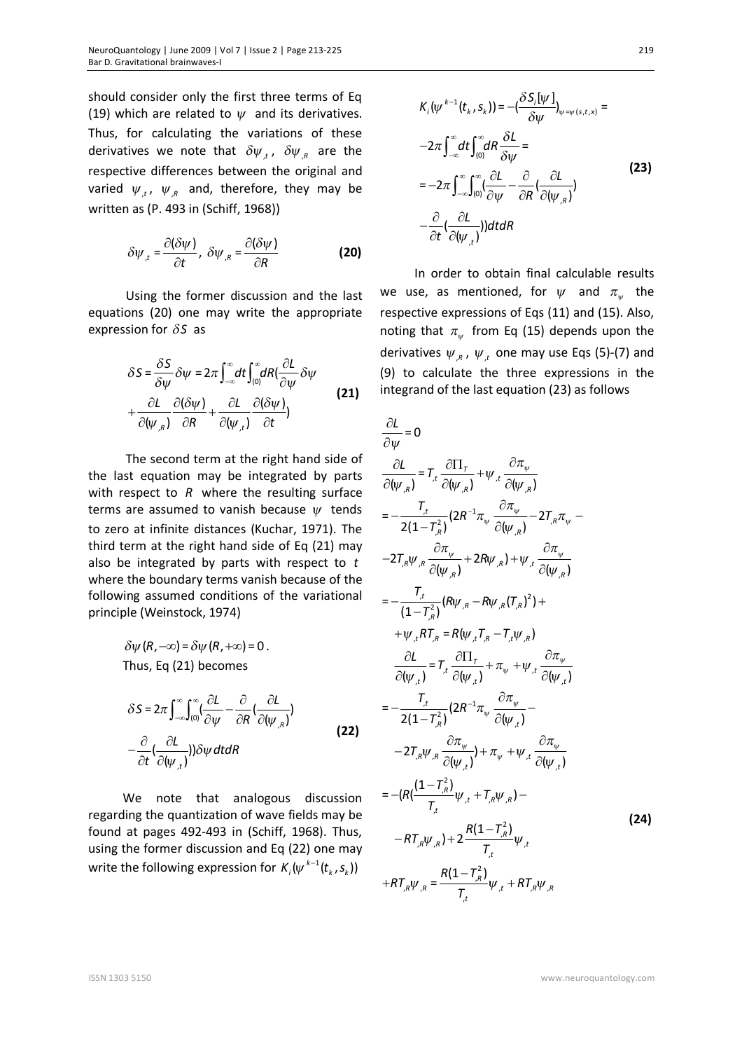should consider only the first three terms of Eq (19) which are related to  $\psi$  and its derivatives. Thus, for calculating the variations of these derivatives we note that  $\delta \psi_{,t}$ ,  $\delta \psi_{,R}$  are the respective differences between the original and varied  $\psi_{,t}$ ,  $\psi_{,R}$  and, therefore, they may be written as (P. 493 in (Schiff, 1968))

$$
\delta \psi_{,t} = \frac{\partial (\delta \psi)}{\partial t}, \ \delta \psi_{,R} = \frac{\partial (\delta \psi)}{\partial R}
$$
 (20)

Using the former discussion and the last equations (20) one may write the appropriate expression for  $\delta S$  as

$$
\delta S = \frac{\delta S}{\delta \psi} \delta \psi = 2\pi \int_{-\infty}^{\infty} dt \int_{(0)}^{\infty} dR \left( \frac{\partial L}{\partial \psi} \delta \psi \right)
$$
  
+ 
$$
\frac{\partial L}{\partial (\psi_{,R})} \frac{\partial (\delta \psi)}{\partial R} + \frac{\partial L}{\partial (\psi_{,t})} \frac{\partial (\delta \psi)}{\partial t}
$$
 (21)

 The second term at the right hand side of the last equation may be integrated by parts with respect to R where the resulting surface terms are assumed to vanish because *<sup>y</sup>* tends to zero at infinite distances (Kuchar, 1971). The third term at the right hand side of Eq (21) may also be integrated by parts with respect to *t* where the boundary terms vanish because of the following assumed conditions of the variational principle (Weinstock, 1974)

> $\delta \psi(R, -\infty) = \delta \psi(R, +\infty) = 0$ . Thus, Eq (21) becomes

$$
\delta S = 2\pi \int_{-\infty}^{\infty} \int_{(0)}^{\infty} \left(\frac{\partial L}{\partial \psi} - \frac{\partial}{\partial R} \left(\frac{\partial L}{\partial (\psi_{,R})}\right) - \frac{\partial}{\partial t} \left(\frac{\partial L}{\partial (\psi_{,L})}\right)\right) \delta \psi \, dt dR
$$
\n(22)

We note that analogous discussion regarding the quantization of wave fields may be found at pages 492-493 in (Schiff, 1968). Thus, using the former discussion and Eq (22) one may write the following expression for  $K_i(\psi^{k-1}(t_k,s_k))$ 

$$
K_{i}(\psi^{k-1}(t_{k}, s_{k})) = -(\frac{\delta S_{i}[\psi]}{\delta \psi})_{\psi = \psi(s, t, x)} =
$$
  
\n
$$
-2\pi \int_{-\infty}^{\infty} dt \int_{(0)}^{\infty} dR \frac{\delta L}{\delta \psi} =
$$
  
\n
$$
= -2\pi \int_{-\infty}^{\infty} \int_{(0)}^{\infty} (\frac{\partial L}{\partial \psi} - \frac{\partial}{\partial R} (\frac{\partial L}{\partial (\psi_{k})})
$$
  
\n
$$
-\frac{\partial}{\partial t} (\frac{\partial L}{\partial (\psi_{k})})) dt dR
$$
\n(23)

In order to obtain final calculable results we use, as mentioned, for  $\psi$  and  $\pi_{\psi}$  the respective expressions of Eqs (11) and (15). Also, noting that  $\pi_{\psi}$  from Eq (15) depends upon the derivatives  $\psi_{,R}$ ,  $\psi_{,t}$  one may use Eqs (5)-(7) and (9) to calculate the three expressions in the integrand of the last equation (23) as follows

$$
\frac{\partial L}{\partial \psi} = 0
$$
\n
$$
\frac{\partial L}{\partial (\psi_{,R})} = T_{,t} \frac{\partial \Pi_{T}}{\partial (\psi_{,R})} + \psi_{,t} \frac{\partial \pi_{\psi}}{\partial (\psi_{,R})}
$$
\n
$$
= -\frac{T_{,t}}{2(1 - T_{,R}^{2})} (2R^{-1} \pi_{\psi} \frac{\partial \pi_{\psi}}{\partial (\psi_{,R})} - 2T_{,R} \pi_{\psi} - 2T_{,R} \psi_{,R} \frac{\partial \pi_{\psi}}{\partial (\psi_{,R})} + 2R \psi_{,R}) + \psi_{,t} \frac{\partial \pi_{\psi}}{\partial (\psi_{,R})}
$$
\n
$$
= -\frac{T_{,t}}{(1 - T_{,R}^{2})} (R \psi_{,R} - R \psi_{,R} (T_{,R})^{2}) + 2R \psi_{,R} (T_{,R})^{2} + 2R \psi_{,R} (T_{,R})^{2} + 2R \psi_{,R} (T_{,R})^{2} + 2R \psi_{,R} (T_{,R})^{2} + 2R \psi_{,R} (T_{,R})^{2} + 2R \psi_{,R} (T_{,R})^{2} + 2R \psi_{,R} (T_{,R})^{2} + 2R \psi_{,R} (T_{,R})^{2} + 2R \psi_{,R} (T_{,R})^{2} + 2R \psi_{,R} (T_{,R})^{2} + 2R \psi_{,R} (T_{,R})^{2} - 2T_{,R} \psi_{,R} \frac{\partial \pi_{\psi}}{\partial (\psi_{,t})} + \pi_{\psi} + \psi_{,t} \frac{\partial \pi_{\psi}}{\partial (\psi_{,t})}
$$
\n
$$
= -(R(\frac{(1 - T_{,R}^{2})}{T_{,t}} \psi_{,t} + T_{,R} \psi_{,R}) - R \psi_{,R} (T_{,R})^{2} + 2R \psi_{,R} (T_{,R})^{2} + 2R \psi_{,R} (T_{,R})^{2} + 2R \psi_{,R} (T_{,R})^{2} + 2R \psi_{,R} (T_{,R})^{2} + 2R \psi_{,R} (T_{,R})^{2} + 2R \psi_{,R} (T_{,R})^{2} + 2R \psi_{,R} (T_{,R})
$$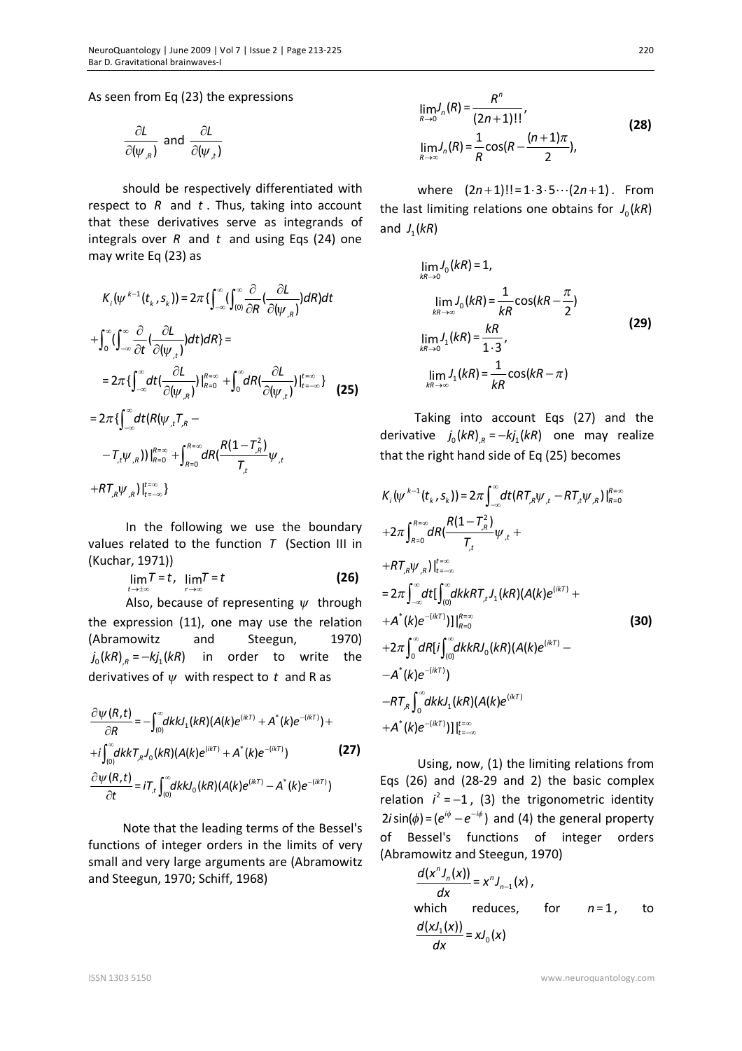As seen from Eq (23) the expressions

$$
\frac{\partial L}{\partial(\psi_{,R})}
$$
 and 
$$
\frac{\partial L}{\partial(\psi_{,t})}
$$

should be respectively differentiated with respect to *R* and *t* . Thus, taking into account that these derivatives serve as integrands of integrals over *R* and *t* and using Eqs (24) one may write Eq (23) as

$$
K_{i}(\psi^{k-1}(t_{k}, s_{k})) = 2\pi \{ \int_{-\infty}^{\infty} (\int_{0}^{\infty} \frac{\partial}{\partial R} (\frac{\partial L}{\partial (\psi_{,R})}) dR) dt
$$
  
+ 
$$
\int_{0}^{\infty} (\int_{-\infty}^{\infty} \frac{\partial}{\partial t} (\frac{\partial L}{\partial (\psi_{,t})}) dt) dR \} =
$$
  
= 
$$
2\pi \{ \int_{-\infty}^{\infty} dt (\frac{\partial L}{\partial (\psi_{,R})}) |_{R=0}^{R=\infty} + \int_{0}^{\infty} dR (\frac{\partial L}{\partial (\psi_{,t})}) |_{t=-\infty}^{t=\infty} \}
$$
(25)  
= 
$$
2\pi \{ \int_{-\infty}^{\infty} dt (R(\psi_{,t}, T_{,R} - -T_{,t}\psi_{,R})) |_{R=0}^{R=\infty} + \int_{R=0}^{R=\infty} dR (\frac{R(1-T_{,R}^{2})}{T_{,t}} \psi_{,t}
$$
  
+ 
$$
R T_{,R} \psi_{,R} |_{t=-\infty}^{t=\infty} \}
$$

In the following we use the boundary values related to the function *T* (Section III in (Kuchar, 1971))

$$
\lim_{t\to\pm\infty}T=t,\ \lim_{t\to\infty}T=t
$$
 (26)

Also, because of representing  $\psi$  through the expression (11), one may use the relation (Abramowitz and Steegun, 1970)  $j_0(kR)_{R} = -kj_1(kR)$  in order to write the derivatives of *<sup>y</sup>* with respect to *t* and R as

$$
\frac{\partial \psi(R,t)}{\partial R} = -\int_{(0)}^{\infty} dk k J_1(kR) (A(k)e^{(ikT)} + A^*(k)e^{-(ikT)}) ++i\int_{(0)}^{\infty} dk k T_{,R} J_0(kR) (A(k)e^{(ikT)} + A^*(k)e^{-(ikT)})
$$
(27)  

$$
\frac{\partial \psi(R,t)}{\partial t} = iT_{,t} \int_{(0)}^{\infty} dk k J_0(kR) (A(k)e^{(ikT)} - A^*(k)e^{-(ikT)})
$$

Note that the leading terms of the Bessel's functions of integer orders in the limits of very small and very large arguments are (Abramowitz and Steegun, 1970; Schiff, 1968)

$$
\lim_{R \to 0} J_n(R) = \frac{R^n}{(2n+1)!!},
$$
\n
$$
\lim_{R \to \infty} J_n(R) = \frac{1}{R} \cos(R - \frac{(n+1)\pi}{2}),
$$
\n(28)

where  $(2n+1)! = 1 \cdot 3 \cdot 5 \cdots (2n+1)$ . From the last limiting relations one obtains for  $J_0(kR)$ and *J*<sub>1</sub>(kR)

$$
\lim_{kR \to 0} J_0(kR) = 1,
$$
\n
$$
\lim_{kR \to \infty} J_0(kR) = \frac{1}{kR} \cos(kR - \frac{\pi}{2})
$$
\n
$$
\lim_{kR \to 0} J_1(kR) = \frac{kR}{1 \cdot 3},
$$
\n
$$
\lim_{kR \to \infty} J_1(kR) = \frac{1}{kR} \cos(kR - \pi)
$$
\n(29)

Taking into account Eqs (27) and the derivative  $j_0(kR)_{R} = -kj_1(kR)$  one may realize that the right hand side of Eq (25) becomes

$$
K_{i}(\psi^{k-1}(t_{k}, s_{k})) = 2\pi \int_{-\infty}^{\infty} dt (RT_{,R}\psi_{,t} - RT_{,t}\psi_{,R})|_{R=0}^{R=\infty}
$$
  
+2\pi  $\int_{R=0}^{R=\infty} dR(\frac{R(1-T_{,R}^{2})}{T_{,t}}\psi_{,t} +$   
+RT\_{,R}\psi\_{,R})|\_{t=-\infty}^{t=\infty}  
= 2\pi \int\_{-\infty}^{\infty} dt [\int\_{(0)}^{\infty} dk kRT\_{,t}J\_{1}(kR)(A(k)e^{(ikT)} +  
+A^{\*}(k)e^{-(ikT)})]|\_{R=0}^{R=\infty}  
+2\pi \int\_{0}^{\infty} dR[i \int\_{(0)}^{\infty} dk kRJ\_{0}(kR)(A(k)e^{(ikT)} -  
-A^{\*}(k)e^{-(ikT)})  
-RT\_{,R}\int\_{0}^{\infty} dk kJ\_{1}(kR)(A(k)e^{(ikT)}  
+A^{\*}(k)e^{-(ikT)})]|\_{t=-\infty}^{t=\infty}

Using, now, (1) the limiting relations from Eqs (26) and (28-29 and 2) the basic complex relation  $i^2 = -1$ , (3) the trigonometric identity  $2i \sin(\phi) = (e^{i\phi} - e^{-i\phi})$  and (4) the general property of Bessel's functions of integer orders (Abramowitz and Steegun, 1970)

$$
\frac{d(x^n J_n(x))}{dx} = x^n J_{n-1}(x),
$$
\nwhich reduces, for  $n=1$ , to\n
$$
\frac{d(xJ_1(x))}{dx} = xJ_0(x)
$$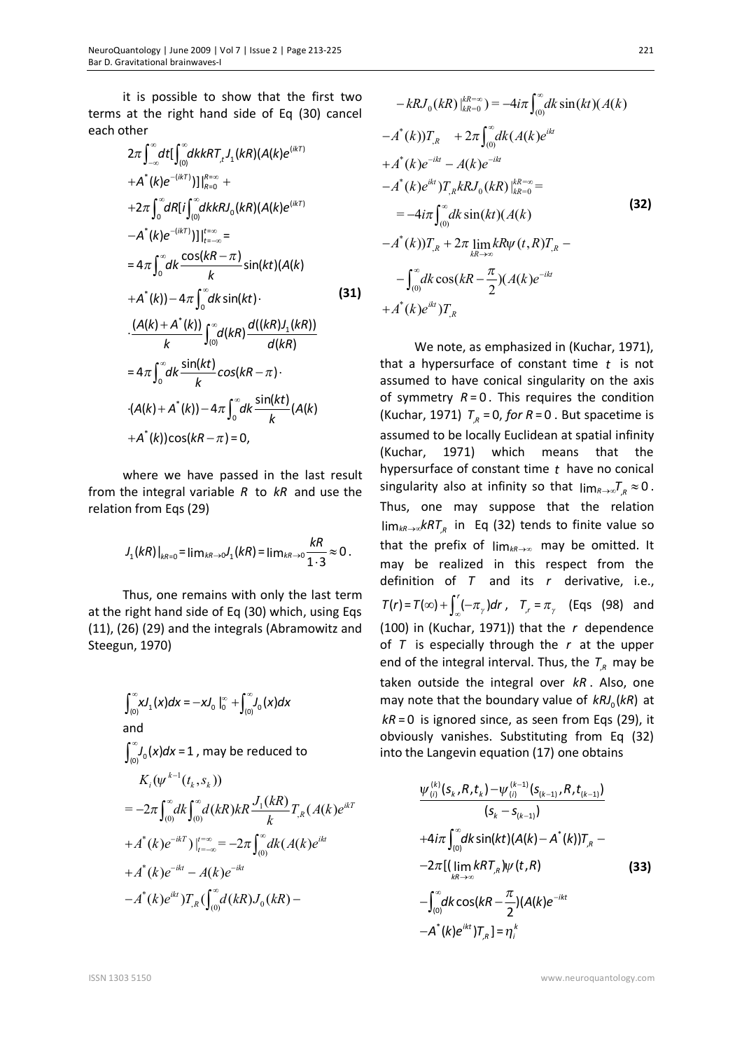it is possible to show that the first two terms at the right hand side of Eq (30) cancel each other

$$
2\pi \int_{-\infty}^{\infty} dt \left[ \int_{(0)}^{\infty} dk R T_{,t} J_{1}(kR) (A(k)e^{(ikT)} + A^{*}(k)e^{-(ikT)}) \right] \Big|_{R=0}^{R=\infty} +
$$
  
+2\pi \int\_{0}^{\infty} dR [i \int\_{(0)}^{\infty} dk k R J\_{0}(kR) (A(k)e^{(ikT)} -A^{\*}(k)e^{-(ikT)})] \Big|\_{t=-\infty}^{t=\infty} =  
=4\pi \int\_{0}^{\infty} dk \frac{\cos(kR-\pi)}{k} \sin(kt) (A(k)  
+A^{\*}(k)) - 4\pi \int\_{0}^{\infty} dk \sin(kt) \cdot \frac{(A(k) + A^{\*}(k))}{k} \int\_{(0)}^{\infty} d(kR) \frac{d((kR)J\_{1}(kR))}{d(kR)} =  
= 4\pi \int\_{0}^{\infty} dk \frac{\sin(kt)}{k} \cos(kR-\pi) \cdot \frac{(A(k) + A^{\*}(k)) - 4\pi \int\_{0}^{\infty} dk \frac{\sin(kt)}{k} (A(k)  
+A^{\*}(k)) \cos(kR-\pi) = 0,

where we have passed in the last result from the integral variable *R* to *kR* and use the relation from Eqs (29)

$$
J_1(kR)\big|_{kR=0} = \lim_{kR\to 0} J_1(kR) = \lim_{kR\to 0} \frac{kR}{1 \cdot 3} \approx 0.
$$

Thus, one remains with only the last term at the right hand side of Eq (30) which, using Eqs (11), (26) (29) and the integrals (Abramowitz and Steegun, 1970)

$$
\int_{(0)}^{\infty} xJ_1(x)dx = -xJ_0\Big|_0^{\infty} + \int_{(0)}^{\infty} J_0(x)dx
$$
  
and  

$$
\int_{(0)}^{\infty} J_0(x)dx = 1
$$
, may be reduced to  

$$
K_i(\psi^{k-1}(t_k, s_k))
$$

$$
= -2\pi \int_{(0)}^{\infty} dk \int_{(0)}^{\infty} d(kR)kR \frac{J_1(kR)}{k} T_{R}(A(k)e^{ikT})
$$

$$
+ A^*(k)e^{-ikT}) \Big|_{t=-\infty}^{t=\infty} = -2\pi \int_{(0)}^{\infty} dk(A(k)e^{ikt})
$$

$$
+ A^*(k)e^{-ikt} - A(k)e^{-ikt}
$$

$$
-A^*(k)e^{ikt}) T_{R}(\int_{(0)}^{\infty} d(kR)J_0(kR) -
$$

$$
-kRJ_0(kR)\Big|_{kR=0}^{kR=\infty} = -4i\pi \int_{(0)}^{\infty} dk \sin(kt) (A(k))
$$
  
\n
$$
-A^*(k)J_{,R}^T + 2\pi \int_{(0)}^{\infty} dk (A(k)e^{ikt})
$$
  
\n
$$
+A^*(k)e^{-ikt} - A(k)e^{-ikt}
$$
  
\n
$$
-A^*(k)e^{ikt})T_{,R}kRJ_0(kR)\Big|_{kR=0}^{kR=\infty} =
$$
  
\n
$$
= -4i\pi \int_{(0)}^{\infty} dk \sin(kt) (A(k))
$$
  
\n
$$
-A^*(k)J_{,R}^T + 2\pi \lim_{kR \to \infty} kR\psi(t, R)T_{,R} -
$$
  
\n
$$
- \int_{(0)}^{\infty} dk \cos(kR - \frac{\pi}{2}) (A(k)e^{-ikt})
$$
  
\n
$$
+A^*(k)e^{ikt})T_{,R}
$$

We note, as emphasized in (Kuchar, 1971), that a hypersurface of constant time *t* is not assumed to have conical singularity on the axis of symmetry  $R = 0$ . This requires the condition (Kuchar, 1971)  $T_{R}$  = 0, for R = 0. But spacetime is assumed to be locally Euclidean at spatial infinity (Kuchar, 1971) which means that the hypersurface of constant time *t* have no conical singularity also at infinity so that  $\lim_{R\to\infty}T_R\approx 0$ . Thus, one may suppose that the relation  $\lim_{kR\to\infty} kRT_{R}$  in Eq (32) tends to finite value so that the prefix of  $\lim_{kR\to\infty}$  may be omitted. It may be realized in this respect from the definition of *T* and its *r* derivative, i.e.,  $T(r) = T(\infty) + \int_{\infty}^{r} (-\pi_{\gamma}) dr$ ,  $T_{r} = \pi_{\gamma}$  (Eqs (98) and (100) in (Kuchar, 1971)) that the *r* dependence of *T* is especially through the *r* at the upper end of the integral interval. Thus, the  $T_{R}$  may be taken outside the integral over *kR* . Also, one may note that the boundary value of  $kRJ_0(kR)$  at  $kR = 0$  is ignored since, as seen from Eqs (29), it obviously vanishes. Substituting from Eq (32) into the Langevin equation (17) one obtains

$$
\frac{\psi_{(i)}^{(k)}(s_{k},R,t_{k})-\psi_{(i)}^{(k-1)}(s_{(k-1)},R,t_{(k-1)})}{(s_{k}-s_{(k-1)})}\n+4i\pi \int_{(0)}^{\infty}dk \sin(kt)(A(k)-A^{*}(k))T_{,R} -
$$
\n
$$
-2\pi [(\lim_{kR\to\infty}kRT_{,R})\psi(t,R)\n- \int_{(0)}^{\infty}dk \cos(kR-\frac{\pi}{2})(A(k)e^{-ikt}\n- A^{*}(k)e^{ikt})T_{,R}]=\eta_{i}^{k}
$$
\n(33)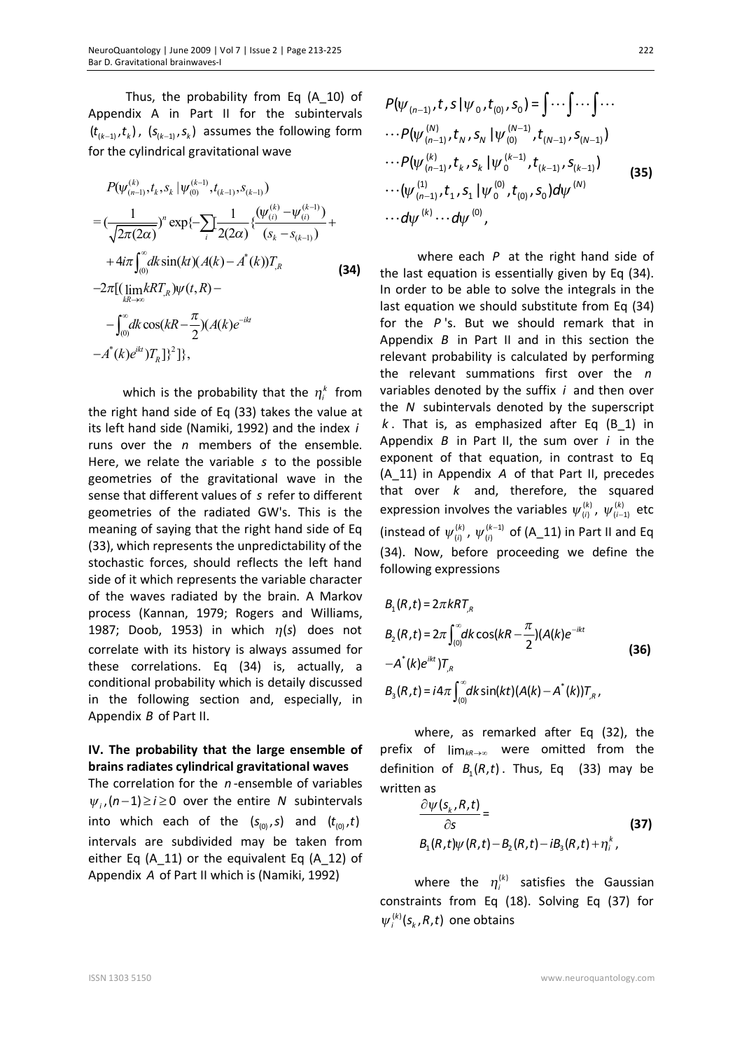Thus, the probability from Eq (A\_10) of Appendix A in Part II for the subintervals  $(t_{(k-1)}, t_k)$ ,  $(s_{(k-1)}, s_k)$  assumes the following form for the cylindrical gravitational wave

$$
P(\psi_{(n-1)}^{(k)}, t_k, s_k | \psi_{(0)}^{(k-1)}, t_{(k-1)}, s_{(k-1)})
$$
\n
$$
= (\frac{1}{\sqrt{2\pi (2\alpha)}})^n \exp\{-\sum_{i} \frac{1}{2(2\alpha)} \{ \frac{(\psi_{(i)}^{(k)} - \psi_{(i)}^{(k-1)})}{(s_k - s_{(k-1)})} + 4i\pi \int_{(0)}^{\infty} dk \sin(kt) (A(k) - A^*(k)) T_R
$$
\n
$$
-2\pi [(\lim_{kR \to \infty} kRT_k) \psi(t, R) -
$$
\n
$$
- \int_{(0)}^{\infty} dk \cos( kR - \frac{\pi}{2}) (A(k)e^{-ikt}
$$
\n
$$
-A^*(k)e^{ikt} )T_R ]^2 ]^2],
$$
\n(34)

which is the probability that the  $\eta_i^k$  from the right hand side of Eq (33) takes the value at its left hand side (Namiki, 1992) and the index *i* runs over the *n* members of the ensemble. Here, we relate the variable *s* to the possible geometries of the gravitational wave in the sense that different values of *s* refer to different geometries of the radiated GW's. This is the meaning of saying that the right hand side of Eq (33), which represents the unpredictability of the stochastic forces, should reflects the left hand side of it which represents the variable character of the waves radiated by the brain. A Markov process (Kannan, 1979; Rogers and Williams, 1987; Doob, 1953) in which  $\eta(s)$  does not correlate with its history is always assumed for these correlations. Eq (34) is, actually, a conditional probability which is detaily discussed in the following section and, especially, in Appendix *B* of Part II.

## **IV. The probability that the large ensemble of brains radiates cylindrical gravitational waves**

The correlation for the *n* -ensemble of variables  $\psi_i$ ,  $(n-1) \ge i \ge 0$  over the entire *N* subintervals into which each of the  $(s_{(0)}, s)$  and  $(t_{(0)}, t)$ intervals are subdivided may be taken from either Eq (A\_11) or the equivalent Eq (A\_12) of Appendix *A* of Part II which is (Namiki, 1992)

$$
P(\psi_{(n-1)}, t, s | \psi_0, t_{(0)}, s_0) = \int \cdots \int \cdots \int \cdots
$$
  
\n
$$
\cdots P(\psi_{(n-1)}^{(N)}, t_N, s_N | \psi_{(0)}^{(N-1)}, t_{(N-1)}, s_{(N-1)})
$$
  
\n
$$
\cdots P(\psi_{(n-1)}^{(k)}, t_k, s_k | \psi_0^{(k-1)}, t_{(k-1)}, s_{(k-1)})
$$
  
\n
$$
\cdots (\psi_{(n-1)}^{(1)}, t_1, s_1 | \psi_0^{(0)}, t_{(0)}, s_0) d\psi^{(N)}
$$
  
\n
$$
\cdots d\psi^{(k)} \cdots d\psi^{(0)},
$$
  
\n(35)

where each *P* at the right hand side of the last equation is essentially given by Eq (34). In order to be able to solve the integrals in the last equation we should substitute from Eq (34) for the *P* 's. But we should remark that in Appendix *B* in Part II and in this section the relevant probability is calculated by performing the relevant summations first over the *n* variables denoted by the suffix *i* and then over the *N* subintervals denoted by the superscript *k* . That is, as emphasized after Eq (B\_1) in Appendix *B* in Part II, the sum over *i* in the exponent of that equation, in contrast to Eq (A\_11) in Appendix *A* of that Part II, precedes that over *k* and, therefore, the squared expression involves the variables  $\psi_{(i)}^{(k)}$ ,  $\psi_{(i-1)}^{(k)}$  etc (instead of  $\psi_{(i)}^{(k)}$ ,  $\psi_{(i)}^{(k-1)}$  of (A\_11) in Part II and Eq (34). Now, before proceeding we define the following expressions

$$
B_1(R,t) = 2\pi kRT_{,R}
$$
  
\n
$$
B_2(R,t) = 2\pi \int_{(0)}^{\infty} dk \cos(kR - \frac{\pi}{2}) (A(k)e^{-ikt})
$$
  
\n
$$
-A^*(k)e^{ikt})T_{,R}
$$
  
\n
$$
B_3(R,t) = i4\pi \int_{(0)}^{\infty} dk \sin(kt) (A(k) - A^*(k))T_{,R},
$$
\n(36)

where, as remarked after Eq (32), the prefix of  $\lim_{k\to\infty}$  were omitted from the definition of  $B_1(R,t)$ . Thus, Eq (33) may be written as

$$
\frac{\partial \psi(s_k, R, t)}{\partial s} =
$$
\n
$$
B_1(R, t)\psi(R, t) - B_2(R, t) - iB_3(R, t) + \eta_i^k,
$$
\n(37)

where the  $\eta_i^{(k)}$  satisfies the Gaussian constraints from Eq (18). Solving Eq (37) for  $\psi_i^{(k)}(s_k, R, t)$  one obtains

222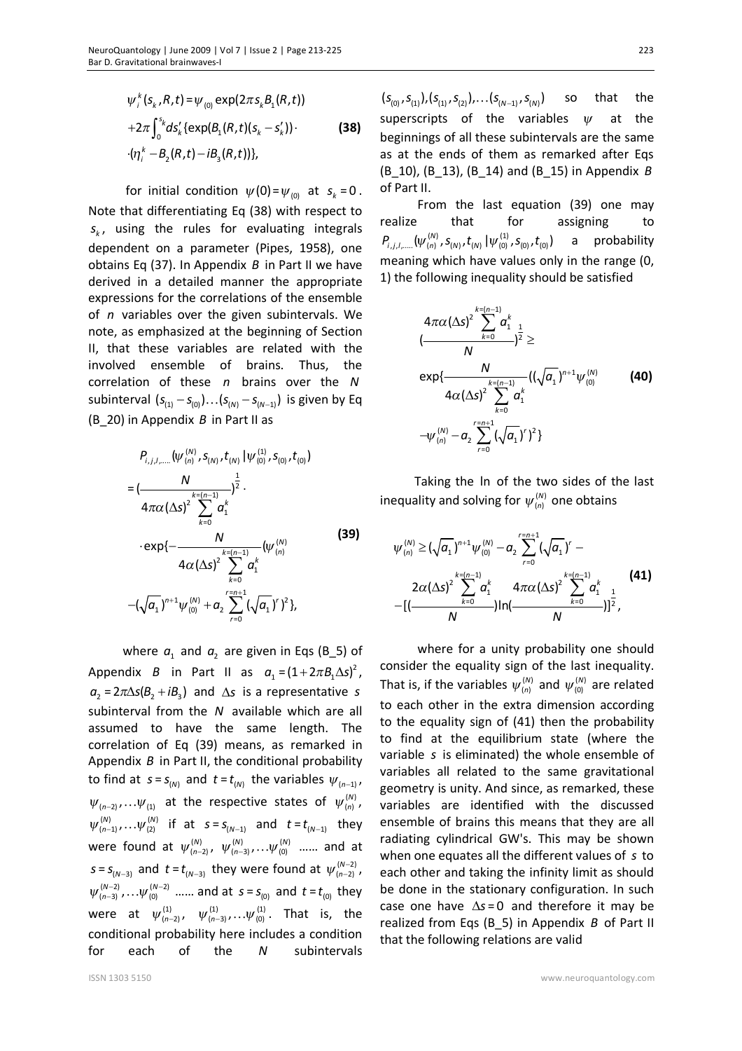$$
\psi_i^k(s_k, R, t) = \psi_{(0)} \exp(2\pi s_k B_1(R, t)) + 2\pi \int_0^{s_k} ds'_k \{ \exp(B_1(R, t)(s_k - s'_k)) \} \cdot (\eta_i^k - B_2(R, t) - iB_3(R, t)) \},
$$
\n(38)

for initial condition  $\psi(0) = \psi_{(0)}$  at  $s_k = 0$ . Note that differentiating Eq (38) with respect to *k s* , using the rules for evaluating integrals dependent on a parameter (Pipes, 1958), one obtains Eq (37). In Appendix *B* in Part II we have derived in a detailed manner the appropriate expressions for the correlations of the ensemble of *n* variables over the given subintervals. We note, as emphasized at the beginning of Section II, that these variables are related with the involved ensemble of brains. Thus, the correlation of these *n* brains over the *N* subinterval  $(s_{(1)} - s_{(0)}) \dots (s_{(N)} - s_{(N-1)})$  is given by Eq (B\_20) in Appendix *B* in Part II as

$$
P_{i,j,l,\dots}(\psi_{(n)}^{(N)}, S_{(N)}, t_{(N)} | \psi_{(0)}^{(1)}, S_{(0)}, t_{(0)})
$$
\n
$$
= \left(\frac{N}{4\pi\alpha (\Delta s)^2} \sum_{k=0}^{1} \frac{1}{\alpha_1^k} \right)^{\frac{1}{2}} \cdot \left(\frac{N}{4\pi\alpha (\Delta s)^2} \sum_{k=0}^{k=(n-1)} \frac{1}{\alpha_1^k} (\psi_{(n)}^{(N)} -4\alpha (\Delta s)^2 \sum_{k=0}^{k=(n-1)} \frac{1}{\alpha_1^k} (\sqrt{\alpha_1})^k \right)^2 \cdot \left(\frac{1}{2} \sum_{r=0}^{n+1} (\sqrt{\alpha_1})^r \right)^2 \cdot \left(\frac{1}{2} \sum_{r=0}^{n+1} (\sqrt{\alpha_1})^r \right)^2 \cdot \left(\frac{1}{2} \sum_{r=0}^{n+1} (\sqrt{\alpha_1})^r \right)^2 \cdot \left(\frac{1}{2} \sum_{r=0}^{n+1} (\sqrt{\alpha_1})^r \right)^2 \cdot \left(\frac{1}{2} \sum_{r=0}^{n+1} (\sqrt{\alpha_1})^r \right)^2 \cdot \left(\frac{1}{2} \sum_{r=0}^{n+1} (\sqrt{\alpha_1})^r \right)^2 \cdot \left(\frac{1}{2} \sum_{r=0}^{n+1} (\sqrt{\alpha_1})^r \right)^2 \cdot \left(\frac{1}{2} \sum_{r=0}^{n+1} (\sqrt{\alpha_1})^r \right)^2 \cdot \left(\frac{1}{2} \sum_{r=0}^{n+1} (\sqrt{\alpha_1})^r \right)^2 \cdot \left(\frac{1}{2} \sum_{r=0}^{n+1} (\sqrt{\alpha_1})^r \right)^2 \cdot \left(\frac{1}{2} \sum_{r=0}^{n+1} (\sqrt{\alpha_1})^r \right)^2 \cdot \left(\frac{1}{2} \sum_{r=0}^{n+1} (\sqrt{\alpha_1})^r \right)^2 \cdot \left(\frac{1}{2} \sum_{r=0}^{n+1} (\sqrt{\alpha_1})^r \right)^2 \cdot \left(\frac{1}{2} \sum_{r=0}^{n+1} (\sqrt{\alpha_1})^r \right)^2 \cdot \left(\frac{1}{2} \sum_{r=0}^{n+1} (\sqrt{\alpha_1})^r \right)^2 \cdot \left(\
$$

where  $a_1$  and  $a_2$  are given in Eqs (B\_5) of Appendix *B* in Part II as  $a_1 = (1 + 2\pi B_1 \Delta s)^2$ ,  $a_2 = 2\pi\Delta s(B_2 + iB_2)$  and  $\Delta s$  is a representative *s* subinterval from the *N* available which are all assumed to have the same length. The correlation of Eq (39) means, as remarked in Appendix *B* in Part II, the conditional probability to find at  $s = s_{(N)}$  and  $t = t_{(N)}$  the variables  $\psi_{(n-1)}$ ,  $\psi_{(n-2)}, \dots \psi_{(1)}$  at the respective states of  $\psi_{(n)}^{(N)}$ ,  $W_{(n-1)}^{(N)}$ ,... $W_{(2)}^{(N)}$  if at  $s = s_{(N-1)}$  and  $t = t_{(N-1)}$  they were found at  $\psi^{(N)}_{(n-2)}$ ,  $\psi^{(N)}_{(n-3)}$ , ... $\psi^{(N)}_{(0)}$  ...... and at  $s = s_{(N-3)}$  and  $t = t_{(N-3)}$  they were found at  $\psi_{(n-2)}^{(N-2)}$ ,  $\psi_{(n-3)}^{(N-2)}$ ,... $\psi_{(0)}^{(N-2)}$  ...... and at  $s = s_{(0)}$  and  $t = t_{(0)}$  they were at  $\psi^{(1)}_{(n-2)}$ ,  $\psi^{(1)}_{(n-3)}$ , ... $\psi^{(1)}_{(0)}$ . That is, the conditional probability here includes a condition for each of the *N* subintervals

 $(S_{(0)}, S_{(1)}), (S_{(1)}, S_{(2)}), \ldots (S_{(N-1)}, S_{(N)})$ so that the superscripts of the variables *<sup>y</sup>* at the beginnings of all these subintervals are the same as at the ends of them as remarked after Eqs (B\_10), (B\_13), (B\_14) and (B\_15) in Appendix *B* of Part II.

From the last equation (39) one may realize that for assigning to  $P_{i,j,l,...,}(\psi_{(n)}^{(N)},s_{(N)},t_{(N)}\,|\psi_{(0)}^{(1)},s_{(0)},t_{(0)})$  a probability meaning which have values only in the range (0, 1) the following inequality should be satisfied

$$
4\pi\alpha(\Delta s)^{2}\sum_{k=0}^{k=(n-1)}\sigma_{1}^{k}\frac{1}{2}
$$
  
\n
$$
(\frac{N}{\Delta s)^{2}\sum_{k=0}^{k=(n-1)}}((\sqrt{a_{1}})^{n+1}\psi_{(0)}^{(N)} - 4\alpha(\Delta s)^{2}\sum_{k=0}^{k=(n-1)}\sigma_{1}^{k}\frac{1}{2}
$$
  
\n
$$
-\psi_{(n)}^{(N)} - \sigma_{2}\sum_{r=0}^{r=n+1}(\sqrt{a_{1}})^{r} )^{2}
$$
 (40)

Taking the ln of the two sides of the last inequality and solving for  $\psi_{(n)}^{(N)}$  one obtains

$$
\psi_{(n)}^{(N)} \geq (\sqrt{a_1})^{n+1} \psi_{(0)}^{(N)} - a_2 \sum_{r=0}^{r=n+1} (\sqrt{a_1})^r -
$$
  
2\alpha (\Delta s)<sup>2</sup>  $\sum_{k=0}^{k=(n-1)} a_1^k$   $4\pi \alpha (\Delta s)^2 \sum_{k=0}^{k=(n-1)} a_1^k$  (41)  
-[ $(\frac{N}{N})$ ]<sup>2</sup>,

where for a unity probability one should consider the equality sign of the last inequality. That is, if the variables  $\psi_{(n)}^{(N)}$  and  $\psi_{(0)}^{(N)}$  are related to each other in the extra dimension according to the equality sign of (41) then the probability to find at the equilibrium state (where the variable *s* is eliminated) the whole ensemble of variables all related to the same gravitational geometry is unity. And since, as remarked, these variables are identified with the discussed ensemble of brains this means that they are all radiating cylindrical GW's. This may be shown when one equates all the different values of *s* to each other and taking the infinity limit as should be done in the stationary configuration. In such case one have  $\Delta s = 0$  and therefore it may be realized from Eqs (B\_5) in Appendix *B* of Part II that the following relations are valid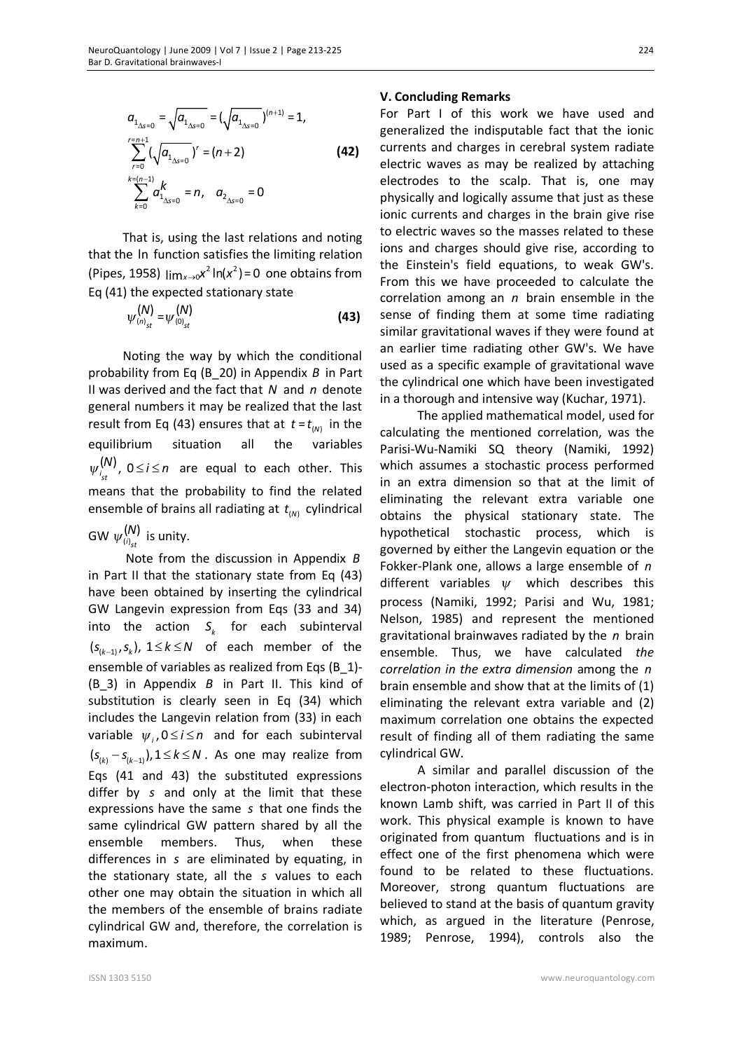$$
a_{1_{\Delta s=0}} = \sqrt{a_{1_{\Delta s=0}}} = (\sqrt{a_{1_{\Delta s=0}}})^{(n+1)} = 1,
$$
  
\n
$$
\sum_{r=0}^{r=n+1} (\sqrt{a_{1_{\Delta s=0}}})^r = (n+2)
$$
\n(42)  
\n
$$
\sum_{k=0}^{k=(n-1)} a_{1_{\Delta s=0}}^k = n, \quad a_{2_{\Delta s=0}} = 0
$$

That is, using the last relations and noting that the ln function satisfies the limiting relation (Pipes, 1958)  $\lim_{x\to 0} x^2 \ln(x^2) = 0$  one obtains from Eq (41) the expected stationary state

$$
\psi_{(n)}^{(N)} = \psi_{(0)}^{(N)} \tag{43}
$$

Noting the way by which the conditional probability from Eq (B\_20) in Appendix *B* in Part II was derived and the fact that *N* and *n* denote general numbers it may be realized that the last result from Eq (43) ensures that at  $t = t_{(N)}$  in the equilibrium situation all the variables ( ) *i* , 0 *st*  $\psi_i^{(N)}$ ,  $0 \le i \le n$  are equal to each other. This means that the probability to find the related ensemble of brains all radiating at  $t_{(N)}$  cylindrical

GW  $\psi^{(\bm{\mathcal{N}})}_{\scriptscriptstyle (i)_{st}}$  $\psi^{(N)}_{\scriptscriptstyle (i)}$  is unity.

Note from the discussion in Appendix *B* in Part II that the stationary state from Eq (43) have been obtained by inserting the cylindrical GW Langevin expression from Eqs (33 and 34) into the action  $S_k$  for each subinterval  $(s_{(k-1)}, s_k)$ ,  $1 \le k \le N$  of each member of the ensemble of variables as realized from Eqs (B\_1)- (B\_3) in Appendix *B* in Part II. This kind of substitution is clearly seen in Eq (34) which includes the Langevin relation from (33) in each variable  $\psi_i$ ,  $0 \le i \le n$  and for each subinterval  $(s_{(k)} - s_{(k-1)})$ ,  $1 \le k \le N$ . As one may realize from Eqs (41 and 43) the substituted expressions differ by *s* and only at the limit that these expressions have the same *s* that one finds the same cylindrical GW pattern shared by all the ensemble members. Thus, when these differences in *s* are eliminated by equating, in the stationary state, all the *s* values to each other one may obtain the situation in which all the members of the ensemble of brains radiate cylindrical GW and, therefore, the correlation is maximum.

#### **V. Concluding Remarks**

For Part I of this work we have used and generalized the indisputable fact that the ionic currents and charges in cerebral system radiate electric waves as may be realized by attaching electrodes to the scalp. That is, one may physically and logically assume that just as these ionic currents and charges in the brain give rise to electric waves so the masses related to these ions and charges should give rise, according to the Einstein's field equations, to weak GW's. From this we have proceeded to calculate the correlation among an *n* brain ensemble in the sense of finding them at some time radiating similar gravitational waves if they were found at an earlier time radiating other GW's. We have used as a specific example of gravitational wave the cylindrical one which have been investigated in a thorough and intensive way (Kuchar, 1971).

 The applied mathematical model, used for calculating the mentioned correlation, was the Parisi-Wu-Namiki SQ theory (Namiki, 1992) which assumes a stochastic process performed in an extra dimension so that at the limit of eliminating the relevant extra variable one obtains the physical stationary state. The hypothetical stochastic process, which is governed by either the Langevin equation or the Fokker-Plank one, allows a large ensemble of *n* different variables *<sup>y</sup>* which describes this process (Namiki, 1992; Parisi and Wu, 1981; Nelson, 1985) and represent the mentioned gravitational brainwaves radiated by the *n* brain ensemble. Thus, we have calculated *the correlation in the extra dimension* among the *n* brain ensemble and show that at the limits of (1) eliminating the relevant extra variable and (2) maximum correlation one obtains the expected result of finding all of them radiating the same cylindrical GW.

A similar and parallel discussion of the electron-photon interaction, which results in the known Lamb shift, was carried in Part II of this work. This physical example is known to have originated from quantum fluctuations and is in effect one of the first phenomena which were found to be related to these fluctuations. Moreover, strong quantum fluctuations are believed to stand at the basis of quantum gravity which, as argued in the literature (Penrose, 1989; Penrose, 1994), controls also the